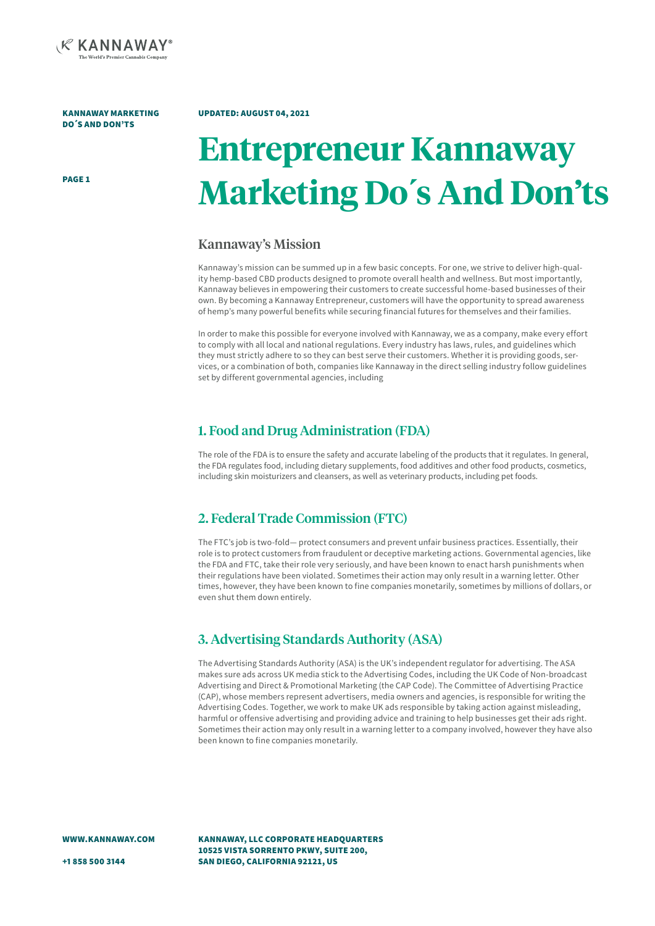

PAGE 1

### UPDATED: AUGUST 04, 2021

# **Entrepreneur Kannaway Marketing Do´s And Don'ts**

# Kannaway's Mission

Kannaway's mission can be summed up in a few basic concepts. For one, we strive to deliver high-quality hemp-based CBD products designed to promote overall health and wellness. But most importantly, Kannaway believes in empowering their customers to create successful home-based businesses of their own. By becoming a Kannaway Entrepreneur, customers will have the opportunity to spread awareness of hemp's many powerful benefits while securing financial futures for themselves and their families.

In order to make this possible for everyone involved with Kannaway, we as a company, make every effort to comply with all local and national regulations. Every industry has laws, rules, and guidelines which they must strictly adhere to so they can best serve their customers. Whether it is providing goods, services, or a combination of both, companies like Kannaway in the direct selling industry follow guidelines set by different governmental agencies, including

# 1. Food and Drug Administration (FDA)

The role of the FDA is to ensure the safety and accurate labeling of the products that it regulates. In general, the FDA regulates food, including dietary supplements, food additives and other food products, cosmetics, including skin moisturizers and cleansers, as well as veterinary products, including pet foods.

# 2. Federal Trade Commission (FTC)

The FTC's job is two-fold— protect consumers and prevent unfair business practices. Essentially, their role is to protect customers from fraudulent or deceptive marketing actions. Governmental agencies, like the FDA and FTC, take their role very seriously, and have been known to enact harsh punishments when their regulations have been violated. Sometimes their action may only result in a warning letter. Other times, however, they have been known to fine companies monetarily, sometimes by millions of dollars, or even shut them down entirely.

# 3. Advertising Standards Authority (ASA)

The Advertising Standards Authority (ASA) is the UK's independent regulator for advertising. The ASA makes sure ads across UK media stick to the Advertising Codes, including the UK Code of Non-broadcast Advertising and Direct & Promotional Marketing (the CAP Code). The Committee of Advertising Practice (CAP), whose members represent advertisers, media owners and agencies, is responsible for writing the Advertising Codes. Together, we work to make UK ads responsible by taking action against misleading, harmful or offensive advertising and providing advice and training to help businesses get their ads right. Sometimes their action may only result in a warning letter to a company involved, however they have also been known to fine companies monetarily.

WWW.KANNAWAY.COM

KANNAWAY, LLC CORPORATE HEADQUARTERS 10525 VISTA SORRENTO PKWY, SUITE 200, SAN DIEGO, CALIFORNIA 92121, US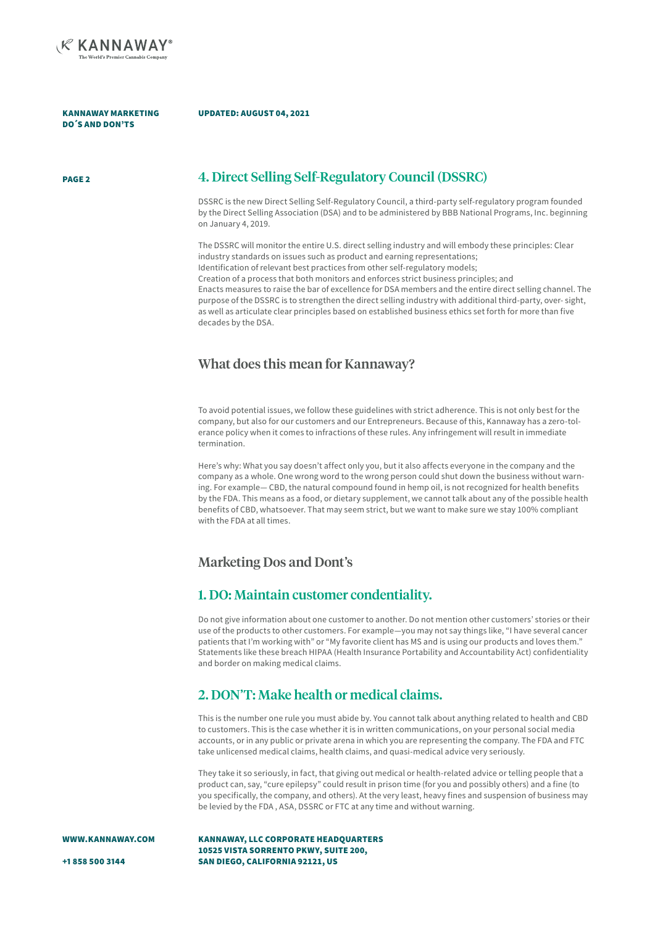

### UPDATED: AUGUST 04, 2021

### PAGE 2

# 4. Direct Selling Self-Regulatory Council (DSSRC)

DSSRC is the new Direct Selling Self-Regulatory Council, a third-party self-regulatory program founded by the Direct Selling Association (DSA) and to be administered by BBB National Programs, Inc. beginning on January 4, 2019.

The DSSRC will monitor the entire U.S. direct selling industry and will embody these principles: Clear industry standards on issues such as product and earning representations; Identification of relevant best practices from other self-regulatory models; Creation of a process that both monitors and enforces strict business principles; and Enacts measures to raise the bar of excellence for DSA members and the entire direct selling channel. The purpose of the DSSRC is to strengthen the direct selling industry with additional third-party, over- sight, as well as articulate clear principles based on established business ethics set forth for more than five decades by the DSA.

# What does this mean for Kannaway?

To avoid potential issues, we follow these guidelines with strict adherence. This is not only best for the company, but also for our customers and our Entrepreneurs. Because of this, Kannaway has a zero-tolerance policy when it comes to infractions of these rules. Any infringement will result in immediate termination.

Here's why: What you say doesn't affect only you, but it also affects everyone in the company and the company as a whole. One wrong word to the wrong person could shut down the business without warning. For example— CBD, the natural compound found in hemp oil, is not recognized for health benefits by the FDA. This means as a food, or dietary supplement, we cannot talk about any of the possible health benefits of CBD, whatsoever. That may seem strict, but we want to make sure we stay 100% compliant with the FDA at all times.

# Marketing Dos and Dont's

# 1. DO: Maintain customer condentiality.

Do not give information about one customer to another. Do not mention other customers' stories or their use of the products to other customers. For example—you may not say things like, "I have several cancer patients that I'm working with" or "My favorite client has MS and is using our products and loves them.' Statements like these breach HIPAA (Health Insurance Portability and Accountability Act) confidentiality and border on making medical claims.

# 2. DON'T: Make health or medical claims.

This is the number one rule you must abide by. You cannot talk about anything related to health and CBD to customers. This is the case whether it is in written communications, on your personal social media accounts, or in any public or private arena in which you are representing the company. The FDA and FTC take unlicensed medical claims, health claims, and quasi-medical advice very seriously.

They take it so seriously, in fact, that giving out medical or health-related advice or telling people that a product can, say, "cure epilepsy" could result in prison time (for you and possibly others) and a fine (to you specifically, the company, and others). At the very least, heavy fines and suspension of business may be levied by the FDA , ASA, DSSRC or FTC at any time and without warning.

WWW.KANNAWAY.COM

KANNAWAY, LLC CORPORATE HEADQUARTERS 10525 VISTA SORRENTO PKWY, SUITE 200, SAN DIEGO, CALIFORNIA 92121, US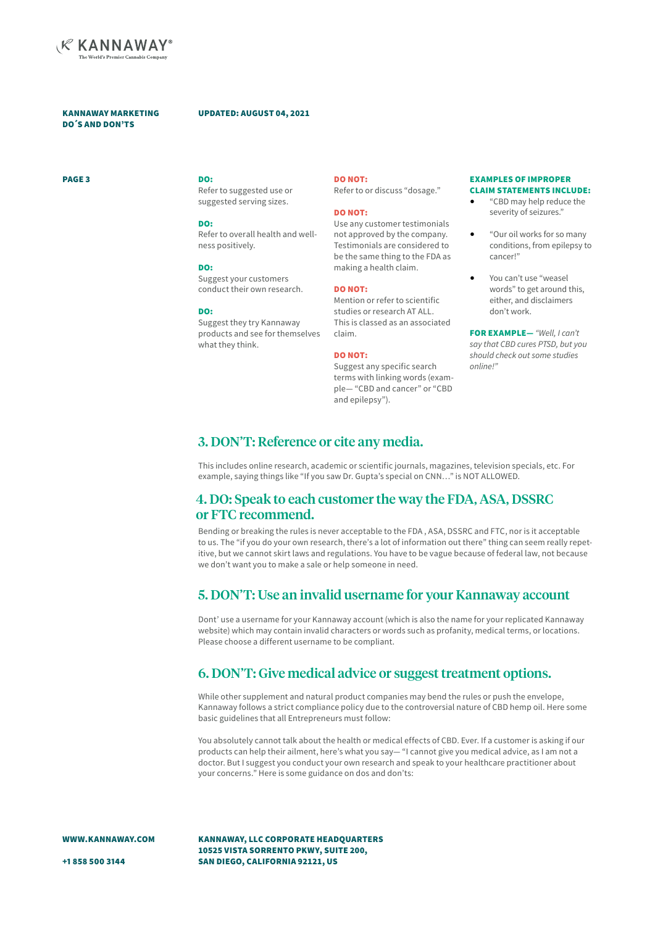

### UPDATED: AUGUST 04, 2021

### PAGE 3

DO: Refer to suggested use or suggested serving sizes.

#### DO:

Refer to overall health and wellness positively.

#### DO:

Suggest your customers conduct their own research.

### DO:

Suggest they try Kannaway products and see for themselves what they think.

#### DO NOT:

Refer to or discuss "dosage."

#### DO NOT:

Use any customer testimonials not approved by the company. Testimonials are considered to be the same thing to the FDA as making a health claim.

#### DO NOT:

Mention or refer to scientific studies or research AT ALL. This is classed as an associated claim.

### DO NOT:

Suggest any specific search terms with linking words (example— "CBD and cancer" or "CBD and epilepsy").

#### EXAMPLES OF IMPROPER CLAIM STATEMENTS INCLUDE:

- "CBD may help reduce the severity of seizures."
- "Our oil works for so many conditions, from epilepsy to cancer!"
- You can't use "weasel words" to get around this, either, and disclaimers don't work.

FOR EXAMPLE— *"Well, I can't say that CBD cures PTSD, but you should check out some studies online!"*

# 3. DON'T: Reference or cite any media.

This includes online research, academic or scientific journals, magazines, television specials, etc. For example, saying things like "If you saw Dr. Gupta's special on CNN…" is NOT ALLOWED.

# 4. DO: Speak to each customer the way the FDA, ASA, DSSRC or FTC recommend.

Bending or breaking the rules is never acceptable to the FDA , ASA, DSSRC and FTC, nor is it acceptable to us. The "if you do your own research, there's a lot of information out there" thing can seem really repetitive, but we cannot skirt laws and regulations. You have to be vague because of federal law, not because we don't want you to make a sale or help someone in need.

# 5. DON'T: Use an invalid username for your Kannaway account

Dont' use a username for your Kannaway account (which is also the name for your replicated Kannaway website) which may contain invalid characters or words such as profanity, medical terms, or locations. Please choose a different username to be compliant.

# 6. DON'T: Give medical advice or suggest treatment options.

While other supplement and natural product companies may bend the rules or push the envelope, Kannaway follows a strict compliance policy due to the controversial nature of CBD hemp oil. Here some basic guidelines that all Entrepreneurs must follow:

You absolutely cannot talk about the health or medical effects of CBD. Ever. If a customer is asking if our products can help their ailment, here's what you say— "I cannot give you medical advice, as I am not a doctor. But I suggest you conduct your own research and speak to your healthcare practitioner about your concerns." Here is some guidance on dos and don'ts:

WWW.KANNAWAY.COM

KANNAWAY, LLC CORPORATE HEADQUARTERS 10525 VISTA SORRENTO PKWY, SUITE 200, SAN DIEGO, CALIFORNIA 92121, US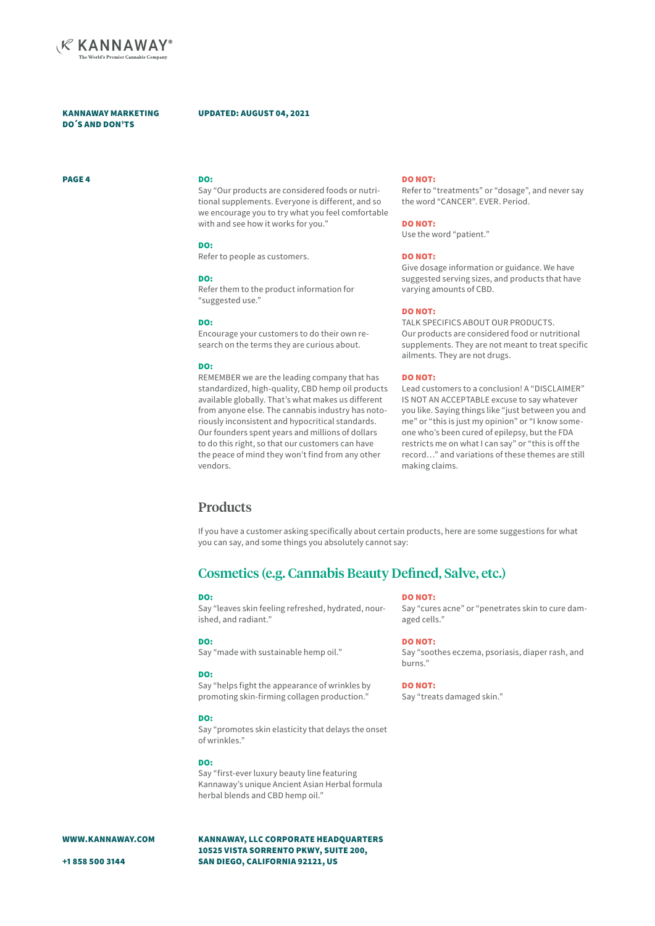

## UPDATED: AUGUST 04, 2021

PAGE 4

### DO:

Say "Our products are considered foods or nutritional supplements. Everyone is different, and so we encourage you to try what you feel comfortable with and see how it works for you."

## DO:

Refer to people as customers.

### DO:

Refer them to the product information for "suggested use."

#### DO:

Encourage your customers to do their own research on the terms they are curious about.

#### DO:

REMEMBER we are the leading company that has standardized, high-quality, CBD hemp oil products available globally. That's what makes us different from anyone else. The cannabis industry has notoriously inconsistent and hypocritical standards. Our founders spent years and millions of dollars to do this right, so that our customers can have the peace of mind they won't find from any other vendors.

#### DO NOT:

Refer to "treatments" or "dosage", and never say the word "CANCER". EVER. Period.

#### DO NOT:

Use the word "patient."

#### DO NOT:

Give dosage information or guidance. We have suggested serving sizes, and products that have varying amounts of CBD.

#### DO NOT:

TALK SPECIFICS ABOUT OUR PRODUCTS. Our products are considered food or nutritional supplements. They are not meant to treat specific ailments. They are not drugs.

#### DO NOT:

Lead customers to a conclusion! A "DISCLAIMER" IS NOT AN ACCEPTABLE excuse to say whatever you like. Saying things like "just between you and me" or "this is just my opinion" or "I know someone who's been cured of epilepsy, but the FDA restricts me on what I can say" or "this is off the record…" and variations of these themes are still making claims.

# Products

If you have a customer asking specifically about certain products, here are some suggestions for what you can say, and some things you absolutely cannot say:

# Cosmetics (e.g. Cannabis Beauty Defined, Salve, etc.)

#### DO:

Say "leaves skin feeling refreshed, hydrated, nourished, and radiant."

# DO:

Say "made with sustainable hemp oil."

#### DO:

Say "helps fight the appearance of wrinkles by promoting skin-firming collagen production."

### DO:

Say "promotes skin elasticity that delays the onset of wrinkles."

# DO:

Say "first-ever luxury beauty line featuring Kannaway's unique Ancient Asian Herbal formula herbal blends and CBD hemp oil."

WWW.KANNAWAY.COM

KANNAWAY, LLC CORPORATE HEADQUARTERS 10525 VISTA SORRENTO PKWY, SUITE 200, SAN DIEGO, CALIFORNIA 92121, US

#### DO NOT:

Say "cures acne" or "penetrates skin to cure damaged cells."

#### DO NOT:

Say "soothes eczema, psoriasis, diaper rash, and burns."

#### DO NOT:

Say "treats damaged skin."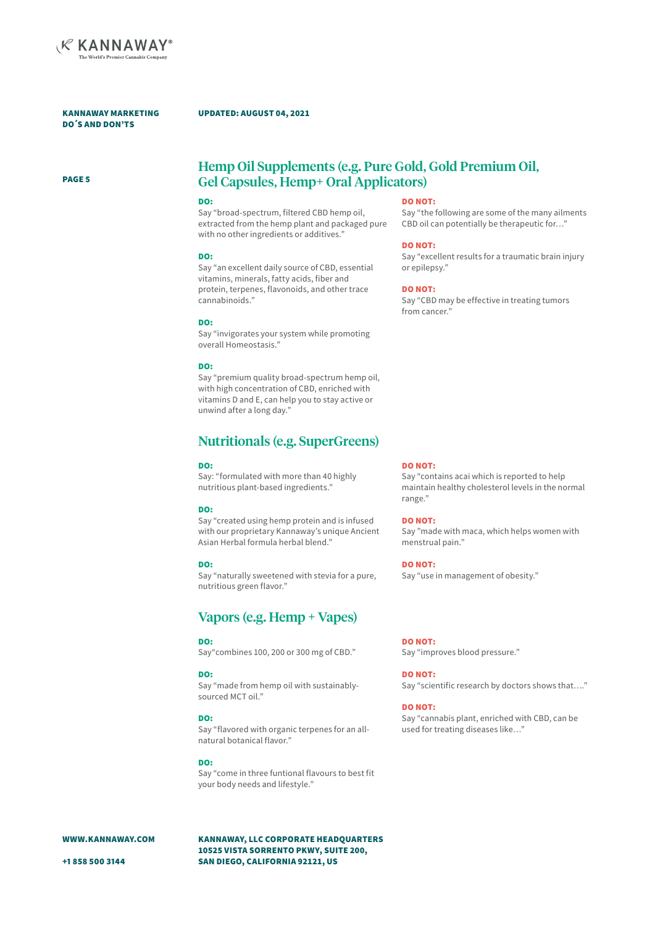

# UPDATED: AUGUST 04, 2021

PAGE 5

# Hemp Oil Supplements (e.g. Pure Gold, Gold Premium Oil, Gel Capsules, Hemp+ Oral Applicators)

### DO:

Say "broad-spectrum, filtered CBD hemp oil, extracted from the hemp plant and packaged pure with no other ingredients or additives."

#### DO:

Say "an excellent daily source of CBD, essential vitamins, minerals, fatty acids, fiber and protein, terpenes, flavonoids, and other trace cannabinoids."

### DO:

Say "invigorates your system while promoting overall Homeostasis."

#### DO:

Say "premium quality broad-spectrum hemp oil, with high concentration of CBD, enriched with vitamins D and E, can help you to stay active or unwind after a long day."

# Nutritionals (e.g. SuperGreens)

### DO:

Say: "formulated with more than 40 highly nutritious plant-based ingredients."

### DO:

Say "created using hemp protein and is infused with our proprietary Kannaway's unique Ancient Asian Herbal formula herbal blend."

### DO:

Say "naturally sweetened with stevia for a pure, nutritious green flavor."

# Vapors (e.g. Hemp + Vapes)

# DO:

Say"combines 100, 200 or 300 mg of CBD."

#### DO:

Say "made from hemp oil with sustainablysourced MCT oil."

### DO:

Say "flavored with organic terpenes for an allnatural botanical flavor."

# DO:

Say "come in three funtional flavours to best fit your body needs and lifestyle."

WWW.KANNAWAY.COM

KANNAWAY, LLC CORPORATE HEADQUARTERS 10525 VISTA SORRENTO PKWY, SUITE 200, SAN DIEGO, CALIFORNIA 92121, US

### DO NOT:

Say "the following are some of the many ailments CBD oil can potentially be therapeutic for…"

### DO NOT:

Say "excellent results for a traumatic brain injury or epilepsy."

#### DO NOT:

Say "CBD may be effective in treating tumors from cancer."

#### DO NOT:

Say "contains acai which is reported to help maintain healthy cholesterol levels in the normal range."

#### DO NOT:

Say "made with maca, which helps women with menstrual pain."

DO NOT: Say "use in management of obesity."

DO NOT: Say "improves blood pressure."

# DO NOT:

Say "scientific research by doctors shows that…."

#### DO NOT:

Say "cannabis plant, enriched with CBD, can be used for treating diseases like…"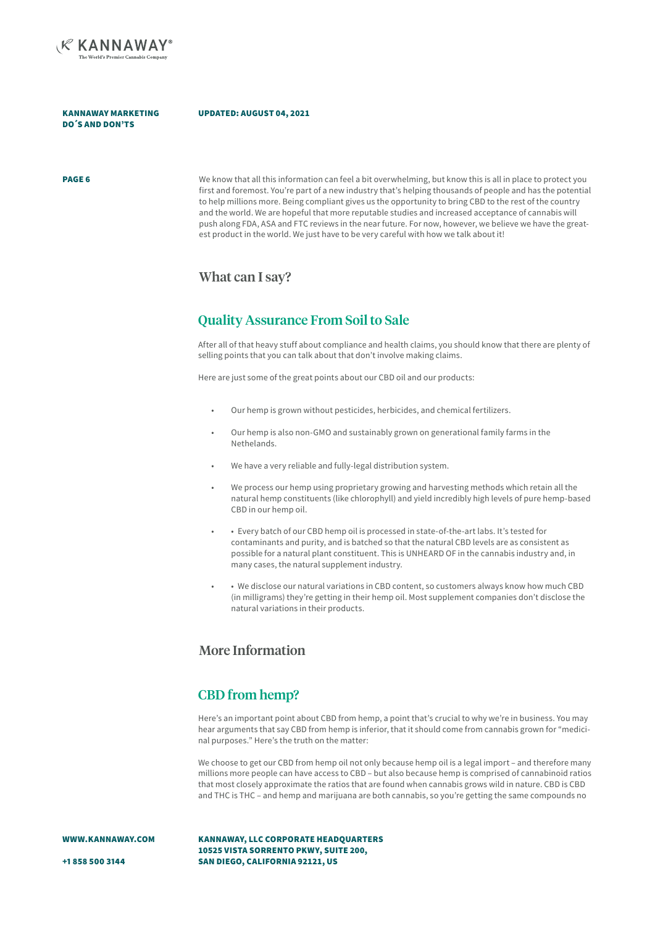

# UPDATED: AUGUST 04, 2021

**PAGE 6** We know that all this information can feel a bit overwhelming, but know this is all in place to protect you first and foremost. You're part of a new industry that's helping thousands of people and has the potential to help millions more. Being compliant gives us the opportunity to bring CBD to the rest of the country and the world. We are hopeful that more reputable studies and increased acceptance of cannabis will push along FDA, ASA and FTC reviews in the near future. For now, however, we believe we have the greatest product in the world. We just have to be very careful with how we talk about it!

# What can I say?

# Quality Assurance From Soil to Sale

After all of that heavy stuff about compliance and health claims, you should know that there are plenty of selling points that you can talk about that don't involve making claims.

Here are just some of the great points about our CBD oil and our products:

- Our hemp is grown without pesticides, herbicides, and chemical fertilizers.
- Our hemp is also non-GMO and sustainably grown on generational family farms in the Nethelands.
- We have a very reliable and fully-legal distribution system.
- We process our hemp using proprietary growing and harvesting methods which retain all the natural hemp constituents (like chlorophyll) and yield incredibly high levels of pure hemp-based CBD in our hemp oil.
- • Every batch of our CBD hemp oil is processed in state-of-the-art labs. It's tested for contaminants and purity, and is batched so that the natural CBD levels are as consistent as possible for a natural plant constituent. This is UNHEARD OF in the cannabis industry and, in many cases, the natural supplement industry.
- • We disclose our natural variations in CBD content, so customers always know how much CBD (in milligrams) they're getting in their hemp oil. Most supplement companies don't disclose the natural variations in their products.

# More Information

# CBD from hemp?

Here's an important point about CBD from hemp, a point that's crucial to why we're in business. You may hear arguments that say CBD from hemp is inferior, that it should come from cannabis grown for "medicinal purposes." Here's the truth on the matter:

We choose to get our CBD from hemp oil not only because hemp oil is a legal import – and therefore many millions more people can have access to CBD – but also because hemp is comprised of cannabinoid ratios that most closely approximate the ratios that are found when cannabis grows wild in nature. CBD is CBD and THC is THC – and hemp and marijuana are both cannabis, so you're getting the same compounds no

WWW.KANNAWAY.COM

KANNAWAY, LLC CORPORATE HEADQUARTERS 10525 VISTA SORRENTO PKWY, SUITE 200, SAN DIEGO, CALIFORNIA 92121, US